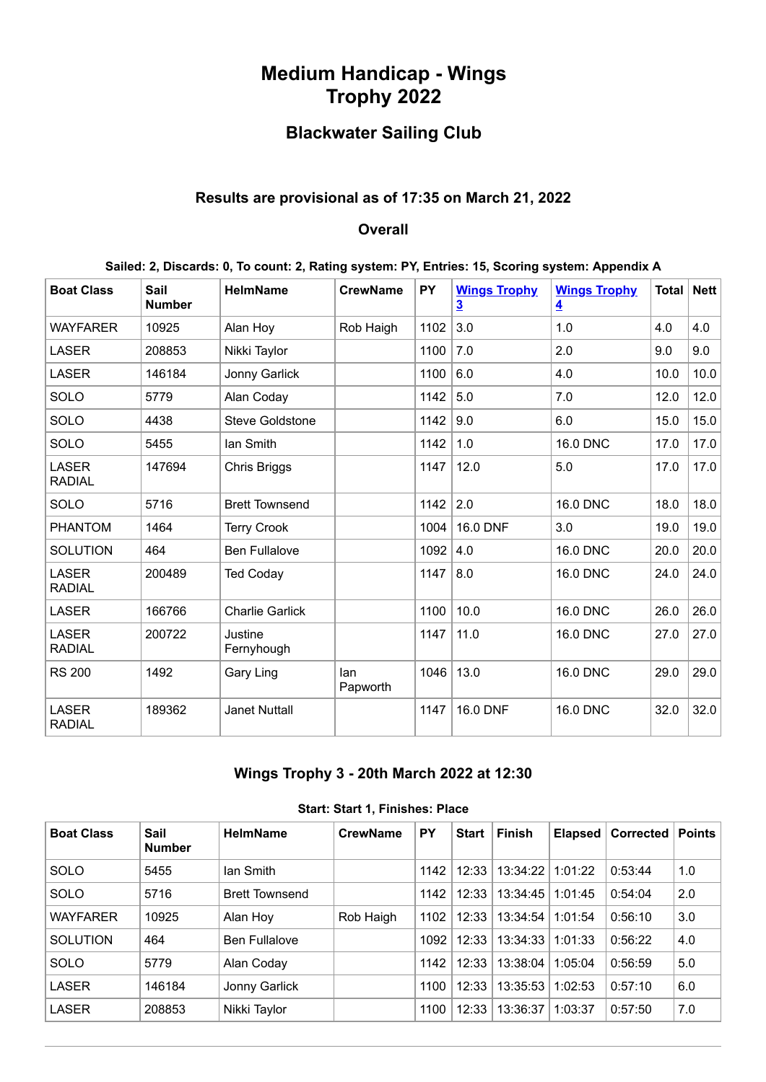# **Medium Handicap - Wings Trophy 2022**

# **Blackwater Sailing Club**

### **Results are provisional as of 17:35 on March 21, 2022**

#### **Overall**

**Sailed: 2, Discards: 0, To count: 2, Rating system: PY, Entries: 15, Scoring system: Appendix A**

| <b>Boat Class</b>             | <b>Sail</b><br><b>Number</b> | <b>HelmName</b>        | <b>CrewName</b> | <b>PY</b> | <b>Wings Trophy</b><br>$\overline{3}$ | <b>Wings Trophy</b><br>$\overline{\mathbf{4}}$ | <b>Total</b> | Nett |
|-------------------------------|------------------------------|------------------------|-----------------|-----------|---------------------------------------|------------------------------------------------|--------------|------|
| <b>WAYFARER</b>               | 10925                        | Alan Hoy               | Rob Haigh       | 1102      | 3.0                                   | 1.0                                            | 4.0          | 4.0  |
| <b>LASER</b>                  | 208853                       | Nikki Taylor           |                 | 1100      | 7.0                                   | 2.0                                            | 9.0          | 9.0  |
| <b>LASER</b>                  | 146184                       | Jonny Garlick          |                 | 1100      | 6.0                                   | 4.0                                            | 10.0         | 10.0 |
| SOLO                          | 5779                         | Alan Coday             |                 | 1142      | 5.0                                   | 7.0                                            | 12.0         | 12.0 |
| SOLO                          | 4438                         | <b>Steve Goldstone</b> |                 | 1142      | 9.0                                   | 6.0                                            | 15.0         | 15.0 |
| SOLO                          | 5455                         | lan Smith              |                 | 1142      | 1.0                                   | <b>16.0 DNC</b>                                | 17.0         | 17.0 |
| <b>LASER</b><br><b>RADIAL</b> | 147694                       | Chris Briggs           |                 | 1147      | 12.0                                  | 5.0                                            | 17.0         | 17.0 |
| SOLO                          | 5716                         | <b>Brett Townsend</b>  |                 | 1142      | 2.0                                   | <b>16.0 DNC</b>                                | 18.0         | 18.0 |
| <b>PHANTOM</b>                | 1464                         | <b>Terry Crook</b>     |                 | 1004      | 16.0 DNF                              | 3.0                                            | 19.0         | 19.0 |
| <b>SOLUTION</b>               | 464                          | <b>Ben Fullalove</b>   |                 | 1092      | 4.0                                   | 16.0 DNC                                       | 20.0         | 20.0 |
| <b>LASER</b><br><b>RADIAL</b> | 200489                       | <b>Ted Coday</b>       |                 | 1147      | 8.0                                   | <b>16.0 DNC</b>                                | 24.0         | 24.0 |
| <b>LASER</b>                  | 166766                       | <b>Charlie Garlick</b> |                 | 1100      | 10.0                                  | 16.0 DNC                                       | 26.0         | 26.0 |
| <b>LASER</b><br><b>RADIAL</b> | 200722                       | Justine<br>Fernyhough  |                 | 1147      | 11.0                                  | 16.0 DNC                                       | 27.0         | 27.0 |
| <b>RS 200</b>                 | 1492                         | Gary Ling              | lan<br>Papworth | 1046      | 13.0                                  | <b>16.0 DNC</b>                                | 29.0         | 29.0 |
| <b>LASER</b><br><b>RADIAL</b> | 189362                       | <b>Janet Nuttall</b>   |                 | 1147      | 16.0 DNF                              | <b>16.0 DNC</b>                                | 32.0         | 32.0 |

## **Wings Trophy 3 - 20th March 2022 at 12:30**

<span id="page-0-0"></span>

| <b>Boat Class</b> | Sail<br><b>Number</b> | <b>HelmName</b>       | <b>CrewName</b> | PY   | <b>Start</b> | <b>Finish</b> | Elapsed | Corrected | Points |
|-------------------|-----------------------|-----------------------|-----------------|------|--------------|---------------|---------|-----------|--------|
| <b>SOLO</b>       | 5455                  | lan Smith             |                 | 1142 | 12:33        | 13:34:22      | 1:01:22 | 0:53:44   | 1.0    |
| <b>SOLO</b>       | 5716                  | <b>Brett Townsend</b> |                 | 1142 | 12:33        | 13:34:45      | 1:01:45 | 0:54:04   | 2.0    |
| <b>WAYFARER</b>   | 10925                 | Alan Hoy              | Rob Haigh       | 1102 | 12:33        | 13:34:54      | 1:01:54 | 0:56:10   | 3.0    |
| <b>SOLUTION</b>   | 464                   | <b>Ben Fullalove</b>  |                 | 1092 | 12:33        | 13:34:33      | 1:01:33 | 0:56:22   | 4.0    |
| <b>SOLO</b>       | 5779                  | Alan Coday            |                 | 1142 | 12:33        | 13:38:04      | 1:05:04 | 0:56:59   | 5.0    |
| <b>LASER</b>      | 146184                | Jonny Garlick         |                 | 1100 | 12:33        | 13:35:53      | 1:02:53 | 0:57:10   | 6.0    |
| <b>LASER</b>      | 208853                | Nikki Taylor          |                 | 1100 | 12:33        | 13:36:37      | 1:03:37 | 0:57:50   | 7.0    |

#### **Start: Start 1, Finishes: Place**